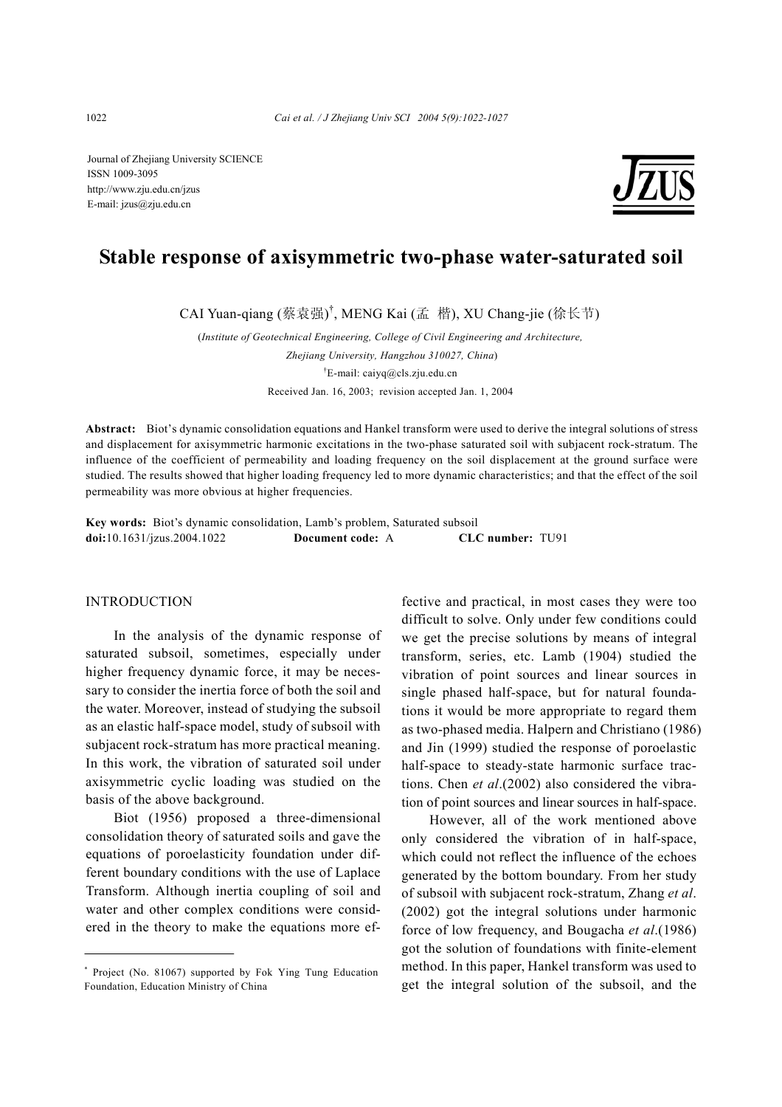Journal of Zhejiang University SCIENCE ISSN 1009-3095 http://www.zju.edu.cn/jzus E-mail: jzus@zju.edu.cn



# **Stable response of axisymmetric two-phase water-saturated soil**

CAI Yuan-qiang (蔡袁强) † , MENG Kai (孟 楷), XU Chang-jie (徐长节)

(*Institute of Geotechnical Engineering, College of Civil Engineering and Architecture, Zhejiang University, Hangzhou 310027, China*) † E-mail: caiyq@cls.zju.edu.cn Received Jan. 16, 2003; revision accepted Jan. 1, 2004

**Abstract:** Biot's dynamic consolidation equations and Hankel transform were used to derive the integral solutions of stress and displacement for axisymmetric harmonic excitations in the two-phase saturated soil with subjacent rock-stratum. The influence of the coefficient of permeability and loading frequency on the soil displacement at the ground surface were studied. The results showed that higher loading frequency led to more dynamic characteristics; and that the effect of the soil permeability was more obvious at higher frequencies.

**Key words:** Biot's dynamic consolidation, Lamb's problem, Saturated subsoil **doi:**10.1631/jzus.2004.1022 **Document code:** A **CLC number:** TU91

## INTRODUCTION

In the analysis of the dynamic response of saturated subsoil, sometimes, especially under higher frequency dynamic force, it may be necessary to consider the inertia force of both the soil and the water. Moreover, instead of studying the subsoil as an elastic half-space model, study of subsoil with subjacent rock-stratum has more practical meaning. In this work, the vibration of saturated soil under axisymmetric cyclic loading was studied on the basis of the above background.

Biot (1956) proposed a three-dimensional consolidation theory of saturated soils and gave the equations of poroelasticity foundation under different boundary conditions with the use of Laplace Transform. Although inertia coupling of soil and water and other complex conditions were considered in the theory to make the equations more effective and practical, in most cases they were too difficult to solve. Only under few conditions could we get the precise solutions by means of integral transform, series, etc. Lamb (1904) studied the vibration of point sources and linear sources in single phased half-space, but for natural foundations it would be more appropriate to regard them as two-phased media. Halpern and Christiano (1986) and Jin (1999) studied the response of poroelastic half-space to steady-state harmonic surface tractions. Chen *et al*.(2002) also considered the vibration of point sources and linear sources in half-space.

However, all of the work mentioned above only considered the vibration of in half-space, which could not reflect the influence of the echoes generated by the bottom boundary. From her study of subsoil with subjacent rock-stratum, Zhang *et al*. (2002) got the integral solutions under harmonic force of low frequency, and Bougacha *et al*.(1986) got the solution of foundations with finite-element method. In this paper, Hankel transform was used to get the integral solution of the subsoil, and the

<sup>\*</sup> Project (No. 81067) supported by Fok Ying Tung Education Foundation, Education Ministry of China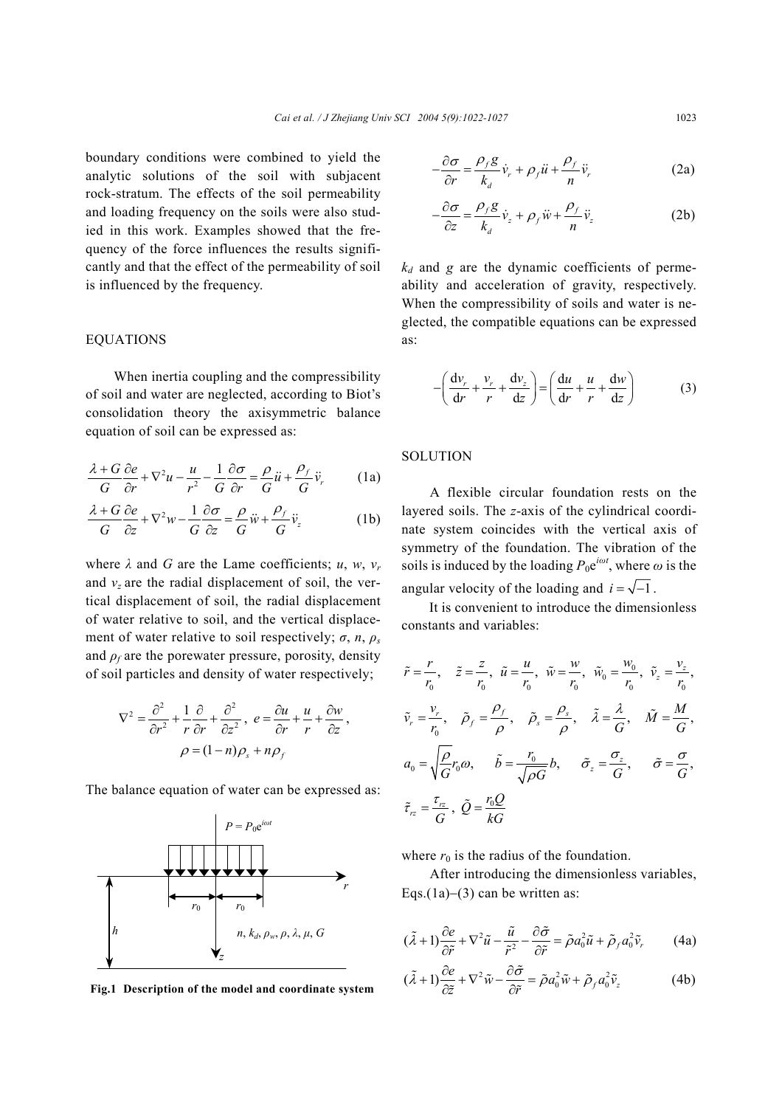boundary conditions were combined to yield the analytic solutions of the soil with subjacent rock-stratum. The effects of the soil permeability and loading frequency on the soils were also studied in this work. Examples showed that the frequency of the force influences the results significantly and that the effect of the permeability of soil is influenced by the frequency.

## EQUATIONS

When inertia coupling and the compressibility of soil and water are neglected, according to Biot's consolidation theory the axisymmetric balance equation of soil can be expressed as:

$$
\frac{\lambda + G}{G} \frac{\partial e}{\partial r} + \nabla^2 u - \frac{u}{r^2} - \frac{1}{G} \frac{\partial \sigma}{\partial r} = \frac{\rho}{G} \ddot{u} + \frac{\rho_f}{G} \ddot{v}_r \tag{1a}
$$

$$
\frac{\lambda + G}{G} \frac{\partial e}{\partial z} + \nabla^2 w - \frac{1}{G} \frac{\partial \sigma}{\partial z} = \frac{\rho}{G} \ddot{w} + \frac{\rho_f}{G} \ddot{v}_z \tag{1b}
$$

where  $\lambda$  and  $G$  are the Lame coefficients;  $u, w, v_r$ and  $v_z$  are the radial displacement of soil, the vertical displacement of soil, the radial displacement of water relative to soil, and the vertical displacement of water relative to soil respectively;  $\sigma$ ,  $n$ ,  $\rho$ <sub>*s*</sub> and  $\rho_f$  are the porewater pressure, porosity, density of soil particles and density of water respectively;

$$
\nabla^2 = \frac{\partial^2}{\partial r^2} + \frac{1}{r} \frac{\partial}{\partial r} + \frac{\partial^2}{\partial z^2}, \ e = \frac{\partial u}{\partial r} + \frac{u}{r} + \frac{\partial w}{\partial z},
$$

$$
\rho = (1 - n)\rho_s + n\rho_f
$$

The balance equation of water can be expressed as:



**Fig.1 Description of the model and coordinate system**

$$
-\frac{\partial \sigma}{\partial r} = \frac{\rho_f g}{k_d} \dot{v}_r + \rho_f \ddot{u} + \frac{\rho_f}{n} \ddot{v}_r
$$
 (2a)

$$
-\frac{\partial \sigma}{\partial z} = \frac{\rho_f g}{k_d} \dot{v}_z + \rho_f \ddot{w} + \frac{\rho_f}{n} \ddot{v}_z \tag{2b}
$$

 $k_d$  and *g* are the dynamic coefficients of permeability and acceleration of gravity, respectively. When the compressibility of soils and water is neglected, the compatible equations can be expressed as:

$$
-\left(\frac{\mathrm{d}v_r}{\mathrm{d}r} + \frac{v_r}{r} + \frac{\mathrm{d}v_z}{\mathrm{d}z}\right) = \left(\frac{\mathrm{d}u}{\mathrm{d}r} + \frac{u}{r} + \frac{\mathrm{d}w}{\mathrm{d}z}\right) \tag{3}
$$

## **SOLUTION**

A flexible circular foundation rests on the layered soils. The *z*-axis of the cylindrical coordinate system coincides with the vertical axis of symmetry of the foundation. The vibration of the soils is induced by the loading  $P_0e^{i\omega t}$ , where  $\omega$  is the angular velocity of the loading and  $i = \sqrt{-1}$ .

It is convenient to introduce the dimensionless constants and variables:

$$
\tilde{r} = \frac{r}{r_0}, \quad \tilde{z} = \frac{z}{r_0}, \quad \tilde{u} = \frac{u}{r_0}, \quad \tilde{w} = \frac{w}{r_0}, \quad \tilde{w}_0 = \frac{w_0}{r_0}, \quad \tilde{v}_z = \frac{v_z}{r_0},
$$
\n
$$
\tilde{v}_r = \frac{v_r}{r_0}, \quad \tilde{\rho}_f = \frac{\rho_f}{\rho}, \quad \tilde{\rho}_s = \frac{\rho_s}{\rho}, \quad \tilde{\lambda} = \frac{\lambda}{G}, \quad \tilde{M} = \frac{M}{G},
$$
\n
$$
a_0 = \sqrt{\frac{\rho}{G}} r_0 \omega, \qquad \tilde{b} = \frac{r_0}{\sqrt{\rho G}} b, \qquad \tilde{\sigma}_z = \frac{\sigma_z}{G}, \qquad \tilde{\sigma} = \frac{\sigma}{G},
$$
\n
$$
\tilde{\tau}_{rz} = \frac{\tau_{rz}}{G}, \quad \tilde{Q} = \frac{r_0 Q}{kG}
$$

where  $r_0$  is the radius of the foundation.

After introducing the dimensionless variables, Eqs.(1a)−(3) can be written as:

$$
(\tilde{\lambda} + 1) \frac{\partial e}{\partial \tilde{r}} + \nabla^2 \tilde{u} - \frac{\tilde{u}}{\tilde{r}^2} - \frac{\partial \tilde{\sigma}}{\partial \tilde{r}} = \tilde{\rho} a_0^2 \tilde{u} + \tilde{\rho}_f a_0^2 \tilde{v}_r
$$
 (4a)

$$
(\tilde{\lambda} + 1) \frac{\partial e}{\partial \tilde{z}} + \nabla^2 \tilde{w} - \frac{\partial \tilde{\sigma}}{\partial \tilde{r}} = \tilde{\rho} a_0^2 \tilde{w} + \tilde{\rho}_f a_0^2 \tilde{v}_z \tag{4b}
$$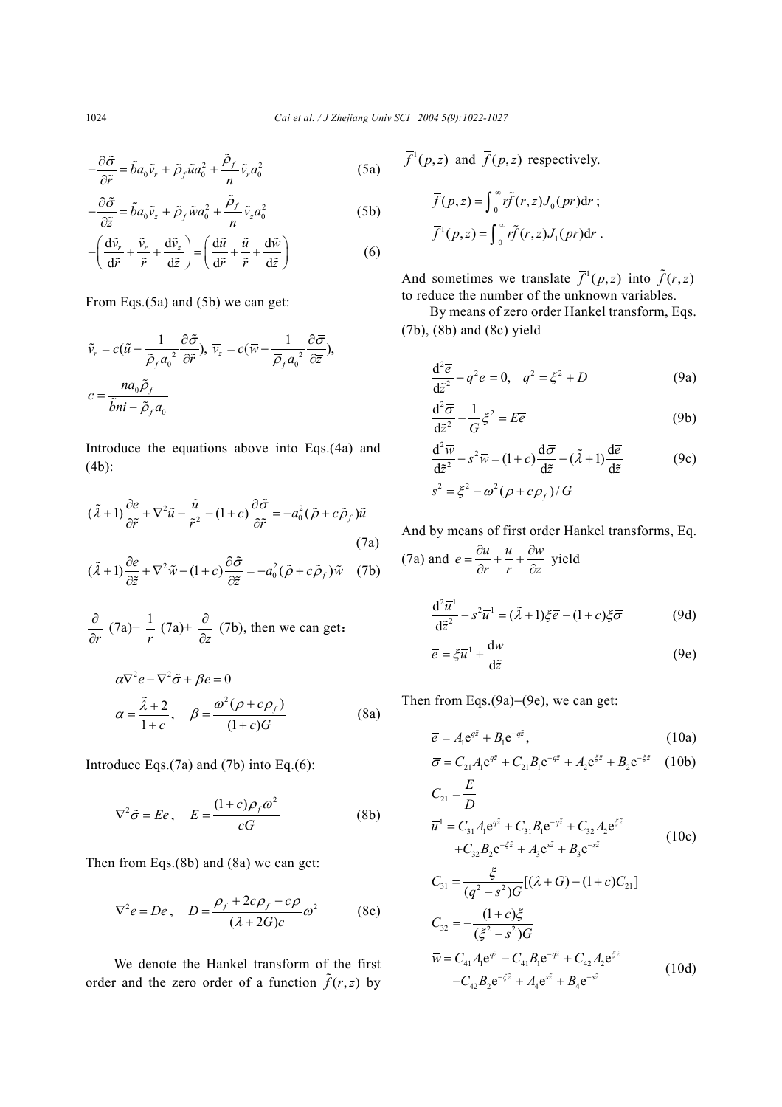$$
-\frac{\partial \tilde{\sigma}}{\partial \tilde{r}} = \tilde{b}a_0 \tilde{v}_r + \tilde{\rho}_f \tilde{u} a_0^2 + \frac{\tilde{\rho}_f}{n} \tilde{v}_r a_0^2 \tag{5a}
$$

$$
-\frac{\partial \tilde{\sigma}}{\partial \tilde{z}} = \tilde{b}a_0 \tilde{v}_z + \tilde{\rho}_f \tilde{w} a_0^2 + \frac{\tilde{\rho}_f}{n} \tilde{v}_z a_0^2
$$
 (5b)

$$
-\left(\frac{\mathrm{d}\tilde{v}_r}{\mathrm{d}\tilde{r}} + \frac{\tilde{v}_r}{\tilde{r}} + \frac{\mathrm{d}\tilde{v}_z}{\mathrm{d}\tilde{z}}\right) = \left(\frac{\mathrm{d}\tilde{u}}{\mathrm{d}\tilde{r}} + \frac{\tilde{u}}{\tilde{r}} + \frac{\mathrm{d}\tilde{w}}{\mathrm{d}\tilde{z}}\right) \tag{6}
$$

From Eqs.(5a) and (5b) we can get:

$$
\tilde{v}_r = c(\tilde{u} - \frac{1}{\tilde{\rho}_f a_0^2} \frac{\partial \tilde{\sigma}}{\partial \tilde{r}}), \ \overline{v}_z = c(\overline{w} - \frac{1}{\overline{\rho}_f a_0^2} \frac{\partial \overline{\sigma}}{\partial \overline{z}}),
$$
\n
$$
c = \frac{n a_0 \tilde{\rho}_f}{\tilde{b} n i - \tilde{\rho}_f a_0}
$$

Introduce the equations above into Eqs.(4a) and (4b):

$$
(\tilde{\lambda} + 1) \frac{\partial e}{\partial \tilde{r}} + \nabla^2 \tilde{u} - \frac{\tilde{u}}{\tilde{r}^2} - (1 + c) \frac{\partial \tilde{\sigma}}{\partial \tilde{r}} = -a_0^2 (\tilde{\rho} + c \tilde{\rho}_f) \tilde{u}
$$
  
(7a)  

$$
(\tilde{\lambda} + 1) \frac{\partial e}{\partial \tilde{z}} + \nabla^2 \tilde{w} - (1 + c) \frac{\partial \tilde{\sigma}}{\partial \tilde{z}} = -a_0^2 (\tilde{\rho} + c \tilde{\rho}_f) \tilde{w}
$$
 (7b)

$$
\frac{\partial}{\partial r} (7a)^{2} + \frac{1}{r} (7a)^{2} + \frac{\partial}{\partial z} (7b)
$$
, then we can get:

$$
\alpha \nabla^2 e - \nabla^2 \tilde{\sigma} + \beta e = 0
$$
  
\n
$$
\alpha = \frac{\tilde{\lambda} + 2}{1 + c}, \quad \beta = \frac{\omega^2 (\rho + c \rho_f)}{(1 + c)G}
$$
 (8a)

Introduce Eqs.(7a) and (7b) into Eq.(6):

$$
\nabla^2 \tilde{\sigma} = E e, \quad E = \frac{(1+c)\rho_f \omega^2}{cG} \tag{8b}
$$

Then from Eqs.(8b) and (8a) we can get:

$$
\nabla^2 e = De, \quad D = \frac{\rho_f + 2c\rho_f - c\rho}{(\lambda + 2G)c} \omega^2 \quad (8c)
$$

We denote the Hankel transform of the first order and the zero order of a function  $\tilde{f}(r, z)$  by  $\overline{f}^1(p,z)$  and  $\overline{f}(p,z)$  respectively.

$$
\overline{f}(p, z) = \int_0^\infty r \widetilde{f}(r, z) J_0(pr) dr ;
$$

$$
\overline{f}^1(p, z) = \int_0^\infty r \widetilde{f}(r, z) J_1(pr) dr .
$$

And sometimes we translate  $\overline{f}^1(p,z)$  into  $\tilde{f}(r,z)$ to reduce the number of the unknown variables.

By means of zero order Hankel transform, Eqs. (7b), (8b) and (8c) yield

$$
\frac{\mathrm{d}^2 \overline{e}}{\mathrm{d}\tilde{z}^2} - q^2 \overline{e} = 0, \quad q^2 = \xi^2 + D \tag{9a}
$$

$$
\frac{d^2\overline{\sigma}}{d\tilde{z}^2} - \frac{1}{G}\zeta^2 = E\overline{e}
$$
 (9b)

$$
\frac{d^2 \overline{w}}{d\tilde{z}^2} - s^2 \overline{w} = (1+c) \frac{d\overline{\sigma}}{d\tilde{z}} - (\tilde{\lambda} + 1) \frac{d\overline{e}}{d\tilde{z}}
$$
(9c)  

$$
s^2 = \xi^2 - \omega^2 (\rho + c\rho_f) / G
$$

And by means of first order Hankel transforms, Eq.

(7a) and 
$$
e = \frac{\partial u}{\partial r} + \frac{u}{r} + \frac{\partial w}{\partial z}
$$
 yield

$$
\frac{d^2\overline{u}^1}{d\tilde{z}^2} - s^2\overline{u}^1 = (\tilde{\lambda} + 1)\xi\overline{e} - (1+c)\xi\overline{\sigma}
$$
(9d)

$$
\overline{e} = \xi \overline{u}^1 + \frac{d\overline{w}}{d\tilde{z}}
$$
 (9e)

Then from Eqs.(9a)−(9e), we can get:

$$
\overline{e} = A_1 e^{q\overline{z}} + B_1 e^{-q\overline{z}}, \qquad (10a)
$$

$$
\overline{\sigma} = C_{21}A_1 e^{q\overline{z}} + C_{21}B_1 e^{-q\overline{z}} + A_2 e^{\xi \overline{z}} + B_2 e^{-\xi \overline{z}} \quad (10b)
$$

$$
C_{21} = \frac{E}{D}
$$
  
\n
$$
\overline{u}^1 = C_{31}A_1 e^{q\overline{z}} + C_{31}B_1 e^{-q\overline{z}} + C_{32}A_2 e^{\overline{z}}
$$
  
\n
$$
+ C_{32}B_2 e^{-\overline{z}\overline{z}} + A_3 e^{s\overline{z}} + B_3 e^{-s\overline{z}}
$$
  
\n
$$
C_{31} = \frac{\xi}{(q^2 - s^2)G} [(\lambda + G) - (1 + c)C_{21}]
$$
  
\n
$$
C_{32} = -\frac{(1 + c)\xi}{(\xi^2 - s^2)G}
$$
 (10c)

$$
\overline{w} = C_{41} A_1 e^{q\overline{z}} - C_{41} B_1 e^{-q\overline{z}} + C_{42} A_2 e^{\overline{z}}
$$
\n
$$
-C_{42} B_2 e^{-\overline{z}} + A_4 e^{s\overline{z}} + B_4 e^{-s\overline{z}}
$$
\n(10d)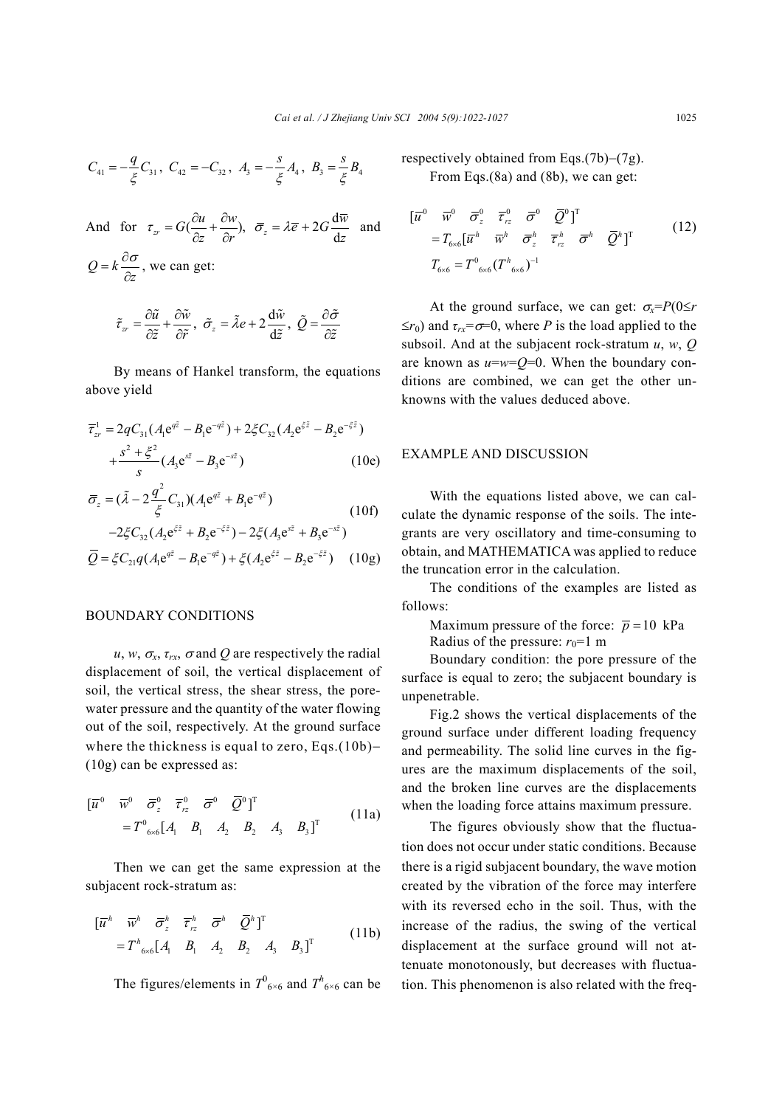$$
C_{41} = -\frac{q}{\xi} C_{31}, C_{42} = -C_{32}, A_3 = -\frac{s}{\xi} A_4, B_3 = \frac{s}{\xi} B_4
$$
  
And for  $\tau_{zr} = G(\frac{\partial u}{\partial z} + \frac{\partial w}{\partial r}), \overline{\sigma}_z = \lambda \overline{e} + 2G \frac{d\overline{w}}{dz}$  and  
 $Q = k \frac{\partial \sigma}{\partial z}$ , we can get:  

$$
\tilde{\tau}_{zr} = \frac{\partial \tilde{u}}{\partial \tilde{z}} + \frac{\partial \tilde{w}}{\partial \tilde{r}}, \tilde{\sigma}_z = \tilde{\lambda} e + 2 \frac{d\tilde{w}}{d\tilde{z}}, \tilde{Q} = \frac{\partial \tilde{\sigma}}{\partial \tilde{z}}
$$

By means of Hankel transform, the equations above yield

 $\alpha$ <sup>z</sup>  $\alpha$ <sup>z</sup>  $\alpha$ <sup>z</sup>  $\alpha$ <sup>d</sup>

 $\tilde{z}$ 

$$
\overline{\tau}_{zr}^{1} = 2qC_{31}(A_{1}e^{q\overline{z}} - B_{1}e^{-q\overline{z}}) + 2\zeta C_{32}(A_{2}e^{\zeta \overline{z}} - B_{2}e^{-\zeta \overline{z}}) \n+ \frac{s^{2} + \zeta^{2}}{s}(A_{3}e^{s\overline{z}} - B_{3}e^{-s\overline{z}})
$$
\n(10e)

$$
\overline{\sigma}_{z} = (\tilde{\lambda} - 2\frac{q^{2}}{\xi}C_{31})(A_{1}e^{q\tilde{z}} + B_{1}e^{-q\tilde{z}})
$$
\n
$$
-2\xi C_{32}(A_{2}e^{\xi\tilde{z}} + B_{2}e^{-\xi\tilde{z}}) - 2\xi(A_{3}e^{\xi\tilde{z}} + B_{3}e^{-\xi\tilde{z}})
$$
\n
$$
\overline{Q} = \xi C_{21}q(A_{1}e^{q\tilde{z}} - B_{1}e^{-q\tilde{z}}) + \xi(A_{2}e^{\xi\tilde{z}} - B_{2}e^{-\xi\tilde{z}})
$$
\n(10g)

#### BOUNDARY CONDITIONS

*zr*

 $u, w, \sigma_x, \tau_{rx}, \sigma$  and Q are respectively the radial displacement of soil, the vertical displacement of soil, the vertical stress, the shear stress, the porewater pressure and the quantity of the water flowing out of the soil, respectively. At the ground surface where the thickness is equal to zero, Eqs.(10b)– (10g) can be expressed as:

$$
\begin{aligned}\n\begin{bmatrix} \overline{u}^0 & \overline{w}^0 & \overline{\sigma}_z^0 & \overline{\tau}_{rz}^0 & \overline{Q}^0 \end{bmatrix}^\mathrm{T} \\
&= T^0_{\text{6x6}} \begin{bmatrix} A_1 & B_1 & A_2 & B_2 & A_3 & B_3 \end{bmatrix}^\mathrm{T}\n\end{aligned}\n\tag{11a}
$$

Then we can get the same expression at the subjacent rock-stratum as:

$$
\begin{aligned}\n\left[\overline{u}^h \quad \overline{w}^h \quad \overline{\sigma}_z^h \quad \overline{\tau}_{rz}^h \quad \overline{\sigma}^h \quad \overline{Q}^h\right]^\mathrm{T} \\
&= T^h_{\text{6x6}} \left[A_1 \quad B_1 \quad A_2 \quad B_2 \quad A_3 \quad B_3\right]^\mathrm{T}\n\end{aligned} \tag{11b}
$$

The figures/elements in  $T^0$ <sub>6×6</sub> and  $T^h$ <sub>6×6</sub> can be

respectively obtained from Eqs.(7b)−(7g). From Eqs.(8a) and (8b), we can get:

$$
\begin{aligned}\n[\overline{u}^0 \quad \overline{w}^0 \quad \overline{\sigma}_z^0 \quad \overline{\tau}_{rz}^0 \quad \overline{\sigma}^0 \quad \overline{Q}^0]^T \\
&= T_{6\times 6} [\overline{u}^h \quad \overline{w}^h \quad \overline{\sigma}_z^h \quad \overline{\tau}_{rz}^h \quad \overline{\sigma}^h \quad \overline{Q}^h]^T \\
T_{6\times 6} &= T^0{}_{6\times 6} (T^h{}_{6\times 6})^{-1}\n\end{aligned} \tag{12}
$$

At the ground surface, we can get:  $\sigma_x = P(0 \le r)$  $\leq r_0$ ) and  $\tau_{rx} = \sigma = 0$ , where *P* is the load applied to the subsoil. And at the subjacent rock-stratum *u*, *w*, *Q* are known as *u*=*w*=*Q*=0. When the boundary conditions are combined, we can get the other unknowns with the values deduced above.

# EXAMPLE AND DISCUSSION

With the equations listed above, we can calculate the dynamic response of the soils. The integrants are very oscillatory and time-consuming to obtain, and MATHEMATICA was applied to reduce the truncation error in the calculation.

The conditions of the examples are listed as follows:

Maximum pressure of the force:  $\bar{p} = 10$  kPa Radius of the pressure:  $r_0=1$  m

Boundary condition: the pore pressure of the surface is equal to zero; the subjacent boundary is unpenetrable.

Fig.2 shows the vertical displacements of the ground surface under different loading frequency and permeability. The solid line curves in the figures are the maximum displacements of the soil, and the broken line curves are the displacements when the loading force attains maximum pressure.

The figures obviously show that the fluctuation does not occur under static conditions. Because there is a rigid subjacent boundary, the wave motion created by the vibration of the force may interfere with its reversed echo in the soil. Thus, with the increase of the radius, the swing of the vertical displacement at the surface ground will not attenuate monotonously, but decreases with fluctuation. This phenomenon is also related with the freq-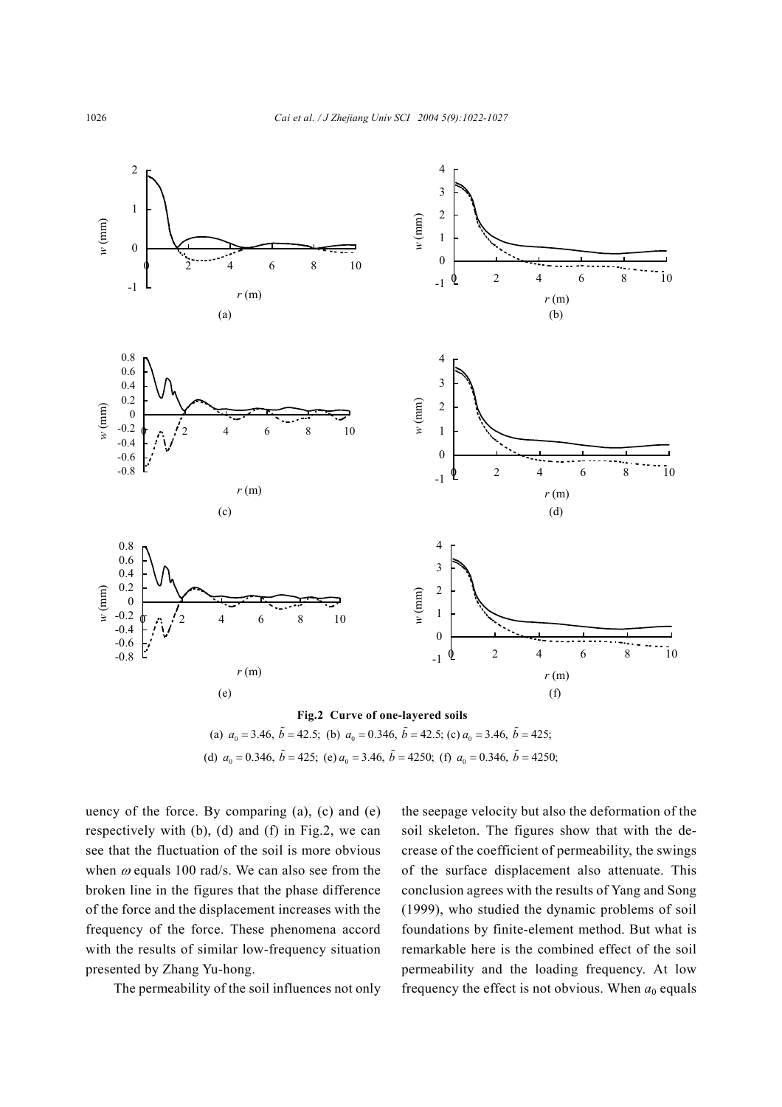

(d)  $a_0 = 0.346$ ,  $\tilde{b} = 425$ ; (e)  $a_0 = 3.46$ ,  $\tilde{b} = 4250$ ; (f)  $a_0 = 0.346$ ,  $\tilde{b} = 4250$ ;

uency of the force. By comparing  $(a)$ ,  $(c)$  and  $(e)$ respectively with (b), (d) and (f) in Fig.2, we can see that the fluctuation of the soil is more obvious when  $\omega$  equals 100 rad/s. We can also see from the broken line in the figures that the phase difference of the force and the displacement increases with the frequency of the force. These phenomena accord with the results of similar low-frequency situation presented by Zhang Yu-hong.

The permeability of the soil influences not only

the seepage velocity but also the deformation of the soil skeleton. The figures show that with the decrease of the coefficient of permeability, the swings of the surface displacement also attenuate. This conclusion agrees with the results of Yang and Song (1999), who studied the dynamic problems of soil foundations by finite-element method. But what is remarkable here is the combined effect of the soil permeability and the loading frequency. At low frequency the effect is not obvious. When  $a_0$  equals